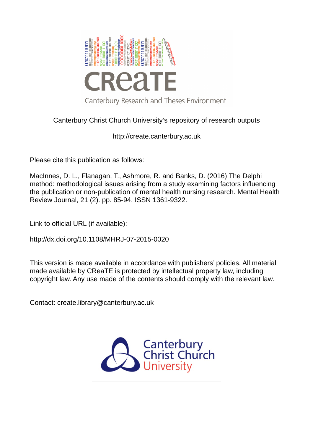

# Canterbury Christ Church University's repository of research outputs

http://create.canterbury.ac.uk

Please cite this publication as follows:

MacInnes, D. L., Flanagan, T., Ashmore, R. and Banks, D. (2016) The Delphi method: methodological issues arising from a study examining factors influencing the publication or non-publication of mental health nursing research. Mental Health Review Journal, 21 (2). pp. 85-94. ISSN 1361-9322.

Link to official URL (if available):

http://dx.doi.org/10.1108/MHRJ-07-2015-0020

This version is made available in accordance with publishers' policies. All material made available by CReaTE is protected by intellectual property law, including copyright law. Any use made of the contents should comply with the relevant law.

Contact: create.library@canterbury.ac.uk

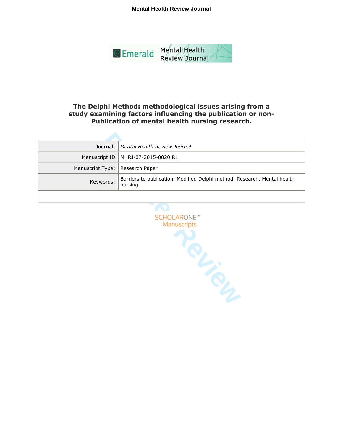**Mental Health Review Journal**



# **The Delphi Method: methodological issues arising from a study examining factors influencing the publication or non-Publication of mental health nursing research.**

|                                   | Journal:   Mental Health Review Journal                                              |
|-----------------------------------|--------------------------------------------------------------------------------------|
|                                   | Manuscript ID   MHRJ-07-2015-0020.R1                                                 |
| Manuscript Type:   Research Paper |                                                                                      |
| Keywords:                         | Barriers to publication, Modified Delphi method, Research, Mental health<br>nursing. |
|                                   |                                                                                      |

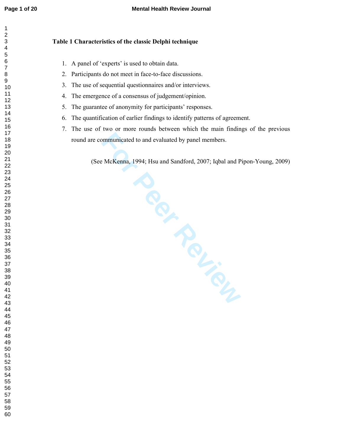# **Table 1 Characteristics of the classic Delphi technique**

- 1. A panel of 'experts' is used to obtain data.
- 2. Participants do not meet in face-to-face discussions.
- 3. The use of sequential questionnaires and/or interviews.
- 4. The emergence of a consensus of judgement/opinion.
- 5. The guarantee of anonymity for participants' responses.
- 6. The quantification of earlier findings to identify patterns of agreement.
- 7. The use of two or more rounds between which the main findings of the previous round are communicated to and evaluated by panel members.

(See McKenna, 1994; Hsu and Sandford, 2007; Iqbal and Pipon-Young, 2009)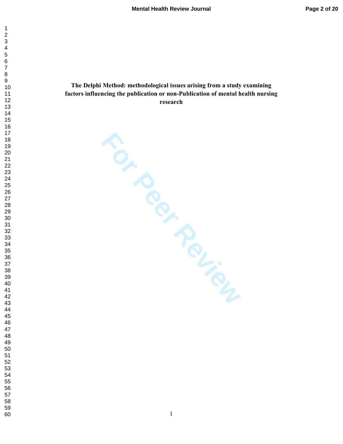**The Delphi Method: methodological issues arising from a study examining factors influencing the publication or non-Publication of mental health nursing research**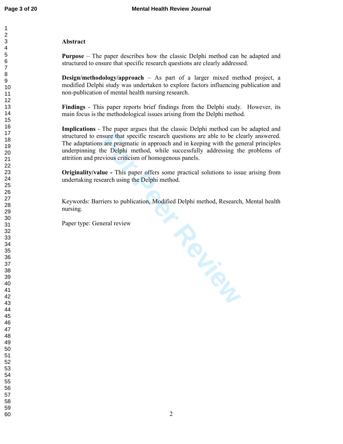$\mathbf{1}$ 

# **Abstract**

**Purpose** – The paper describes how the classic Delphi method can be adapted and structured to ensure that specific research questions are clearly addressed.

**Design/methodology/approach** – As part of a larger mixed method project, a modified Delphi study was undertaken to explore factors influencing publication and non-publication of mental health nursing research.

**Findings** - This paper reports brief findings from the Delphi study. However, its main focus is the methodological issues arising from the Delphi method.

**Implications** - The paper argues that the classic Delphi method can be adapted and structured to ensure that specific research questions are able to be clearly answered. The adaptations are pragmatic in approach and in keeping with the general principles underpinning the Delphi method, while successfully addressing the problems of attrition and previous criticism of homogenous panels.

**Originality/value -** This paper offers some practical solutions to issue arising from undertaking research using the Delphi method.

**PRINCE** Keywords: Barriers to publication, Modified Delphi method, Research, Mental health nursing.

Paper type: General review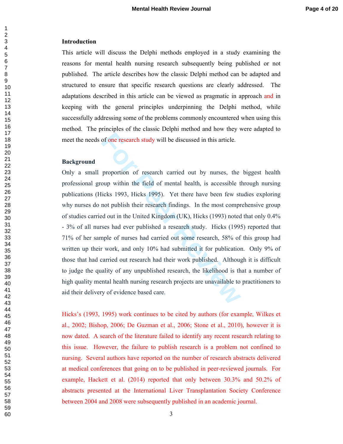#### **Introduction**

This article will discuss the Delphi methods employed in a study examining the reasons for mental health nursing research subsequently being published or not published. The article describes how the classic Delphi method can be adapted and structured to ensure that specific research questions are clearly addressed. The adaptations described in this article can be viewed as pragmatic in approach and in keeping with the general principles underpinning the Delphi method, while successfully addressing some of the problems commonly encountered when using this method. The principles of the classic Delphi method and how they were adapted to meet the needs of one research study will be discussed in this article.

# **Background**

of one research study will be discussed in this article.<br>
proportion of research carried out by nurses, the<br>
proportion of research carried out by nurses, the<br>
licks 1993, Hicks 1995). Yet there have been few st<br>
mot publi Only a small proportion of research carried out by nurses, the biggest health professional group within the field of mental health, is accessible through nursing publications (Hicks 1993, Hicks 1995). Yet there have been few studies exploring why nurses do not publish their research findings. In the most comprehensive group of studies carried out in the United Kingdom (UK), Hicks (1993) noted that only 0.4% - 3% of all nurses had ever published a research study. Hicks (1995) reported that 71% of her sample of nurses had carried out some research, 58% of this group had written up their work, and only 10% had submitted it for publication. Only 9% of those that had carried out research had their work published. Although it is difficult to judge the quality of any unpublished research, the likelihood is that a number of high quality mental health nursing research projects are unavailable to practitioners to aid their delivery of evidence based care.

Hicks's (1993, 1995) work continues to be cited by authors (for example, Wilkes et al., 2002; Bishop, 2006; De Guzman et al., 2006; Stone et al., 2010), however it is now dated. A search of the literature failed to identify any recent research relating to this issue. However, the failure to publish research is a problem not confined to nursing. Several authors have reported on the number of research abstracts delivered at medical conferences that going on to be published in peer-reviewed journals. For example, Hackett et al. (2014) reported that only between 30.3% and 50.2% of abstracts presented at the International Liver Transplantation Society Conference between 2004 and 2008 were subsequently published in an academic journal.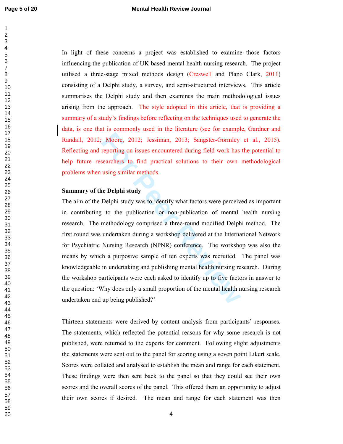In light of these concerns a project was established to examine those factors influencing the publication of UK based mental health nursing research. The project utilised a three-stage mixed methods design (Creswell and Plano Clark, 2011) consisting of a Delphi study, a survey, and semi-structured interviews. This article summarises the Delphi study and then examines the main methodological issues arising from the approach. The style adopted in this article, that is providing a summary of a study's findings before reflecting on the techniques used to generate the data, is one that is commonly used in the literature (see for example, Gardner and Randall, 2012; Moore, 2012; Jessiman, 2013; Sangster-Gormley et al., 2015). Reflecting and reporting on issues encountered during field work has the potential to help future researchers to find practical solutions to their own methodological problems when using similar methods.

# **Summary of the Delphi study**

Moore, 2012; Jessiman, 2013; Sangster-Gormley<br>reporting on issues encountered during field work has<br>searchers to find practical solutions to their own<br>using similar methods.<br>**Review Polephi study**<br>Delphi study was to ident The aim of the Delphi study was to identify what factors were perceived as important in contributing to the publication or non-publication of mental health nursing research. The methodology comprised a three-round modified Delphi method. The first round was undertaken during a workshop delivered at the International Network for Psychiatric Nursing Research (NPNR) conference. The workshop was also the means by which a purposive sample of ten experts was recruited. The panel was knowledgeable in undertaking and publishing mental health nursing research. During the workshop participants were each asked to identify up to five factors in answer to the question: 'Why does only a small proportion of the mental health nursing research undertaken end up being published?'

Thirteen statements were derived by content analysis from participants' responses. The statements, which reflected the potential reasons for why some research is not published, were returned to the experts for comment. Following slight adjustments the statements were sent out to the panel for scoring using a seven point Likert scale. Scores were collated and analysed to establish the mean and range for each statement. These findings were then sent back to the panel so that they could see their own scores and the overall scores of the panel. This offered them an opportunity to adjust their own scores if desired. The mean and range for each statement was then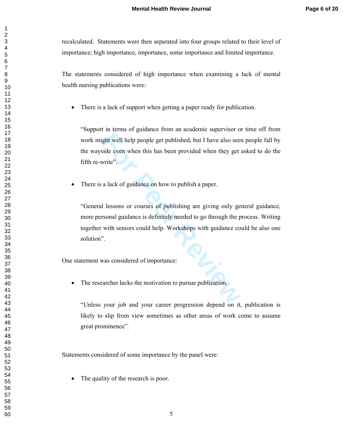recalculated. Statements were then separated into four groups related to their level of importance; high importance, importance, some importance and limited importance.

The statements considered of high importance when examining a lack of mental health nursing publications were:

There is a lack of support when getting a paper ready for publication.

"Support in terms of guidance from an academic supervisor or time off from work might well help people get published, but I have also seen people fall by the wayside even when this has been provided when they get asked to do the fifth re-write".

There is a lack of guidance on how to publish a paper.

**For Peer Review** "General lessons or courses of publishing are giving only general guidance, more personal guidance is definitely needed to go through the process. Writing together with seniors could help. Workshops with guidance could be also one solution".

One statement was considered of importance:

• The researcher lacks the motivation to pursue publication.

"Unless your job and your career progression depend on it, publication is likely to slip from view sometimes as other areas of work come to assume great prominence".

Statements considered of some importance by the panel were:

The quality of the research is poor.

 $\mathbf{1}$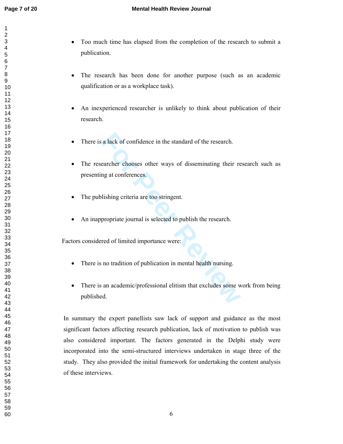- Too much time has elapsed from the completion of the research to submit a publication.
- The research has been done for another purpose (such as an academic qualification or as a workplace task).
- An inexperienced researcher is unlikely to think about publication of their research.
- There is a lack of confidence in the standard of the research.
- a lack of confidence in the standard of the research.<br>
Exercher chooses other ways of disseminating their read at conferences.<br> **For Peer Review Act Section** 1<br> **For Peer Reviewald Exercise 2**<br> **For Peer Reviewald Exercise** • The researcher chooses other ways of disseminating their research such as presenting at conferences.
- The publishing criteria are too stringent.
- An inappropriate journal is selected to publish the research.

Factors considered of limited importance were:

- There is no tradition of publication in mental health nursing.
- There is an academic/professional elitism that excludes some work from being published.

In summary the expert panellists saw lack of support and guidance as the most significant factors affecting research publication, lack of motivation to publish was also considered important. The factors generated in the Delphi study were incorporated into the semi-structured interviews undertaken in stage three of the study. They also provided the initial framework for undertaking the content analysis of these interviews.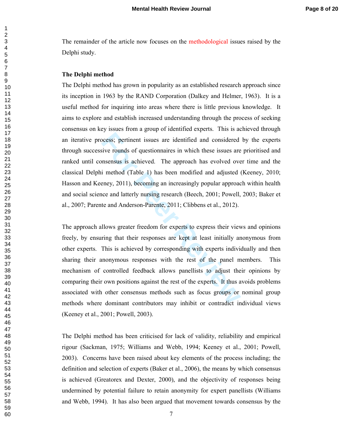The remainder of the article now focuses on the methodological issues raised by the Delphi study.

## **The Delphi method**

The Delphi method has grown in popularity as an established research approach since its inception in 1963 by the RAND Corporation (Dalkey and Helmer, 1963). It is a useful method for inquiring into areas where there is little previous knowledge. It aims to explore and establish increased understanding through the process of seeking consensus on key issues from a group of identified experts. This is achieved through an iterative process; pertinent issues are identified and considered by the experts through successive rounds of questionnaires in which these issues are prioritised and ranked until consensus is achieved. The approach has evolved over time and the classical Delphi method (Table 1) has been modified and adjusted (Keeney, 2010; Hasson and Keeney, 2011), becoming an increasingly popular approach within health and social science and latterly nursing research (Beech, 2001; Powell, 2003; Baker et al., 2007; Parente and Anderson-Parente, 2011; Clibbens et al., 2012).

**Formally and Solution** and considered inverting the considered sive rounds of questionnaires in which these issues are ansensus is achieved. The approach has evolved over i method (Table 1) has been modified and adjusted The approach allows greater freedom for experts to express their views and opinions freely, by ensuring that their responses are kept at least initially anonymous from other experts. This is achieved by corresponding with experts individually and then sharing their anonymous responses with the rest of the panel members. This mechanism of controlled feedback allows panellists to adjust their opinions by comparing their own positions against the rest of the experts. It thus avoids problems associated with other consensus methods such as focus groups or nominal group methods where dominant contributors may inhibit or contradict individual views (Keeney et al., 2001; Powell, 2003).

The Delphi method has been criticised for lack of validity, reliability and empirical rigour (Sackman, 1975; Williams and Webb, 1994; Keeney et al., 2001; Powell, 2003). Concerns have been raised about key elements of the process including; the definition and selection of experts (Baker et al., 2006), the means by which consensus is achieved (Greatorex and Dexter, 2000), and the objectivity of responses being undermined by potential failure to retain anonymity for expert panellists (Williams and Webb, 1994). It has also been argued that movement towards consensus by the

 $\mathbf{1}$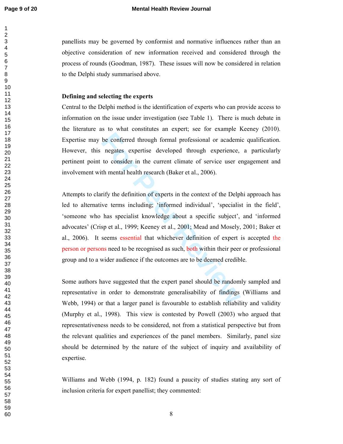$\mathbf{1}$ 

## **Page 9 of 20 Mental Health Review Journal**

panellists may be governed by conformist and normative influences rather than an objective consideration of new information received and considered through the process of rounds (Goodman, 1987). These issues will now be considered in relation to the Delphi study summarised above.

## **Defining and selecting the experts**

Central to the Delphi method is the identification of experts who can provide access to information on the issue under investigation (see Table 1). There is much debate in the literature as to what constitutes an expert; see for example Keeney (2010). Expertise may be conferred through formal professional or academic qualification. However, this negates expertise developed through experience, a particularly pertinent point to consider in the current climate of service user engagement and involvement with mental health research (Baker et al., 2006).

be conferred through formal professional or academi<br>negates expertise developed through experience,<br>to consider in the current climate of service user e<br>th mental health research (Baker et al., 2006).<br>Fify the definition o Attempts to clarify the definition of experts in the context of the Delphi approach has led to alternative terms including; 'informed individual', 'specialist in the field', 'someone who has specialist knowledge about a specific subject', and 'informed advocates' (Crisp et al., 1999; Keeney et al., 2001; Mead and Mosely, 2001; Baker et al., 2006). It seems essential that whichever definition of expert is accepted the person or persons need to be recognised as such, both within their peer or professional group and to a wider audience if the outcomes are to be deemed credible.

Some authors have suggested that the expert panel should be randomly sampled and representative in order to demonstrate generalisability of findings (Williams and Webb, 1994) or that a larger panel is favourable to establish reliability and validity (Murphy et al., 1998). This view is contested by Powell (2003) who argued that representativeness needs to be considered, not from a statistical perspective but from the relevant qualities and experiences of the panel members. Similarly, panel size should be determined by the nature of the subject of inquiry and availability of expertise.

Williams and Webb (1994, p. 182) found a paucity of studies stating any sort of inclusion criteria for expert panellist; they commented: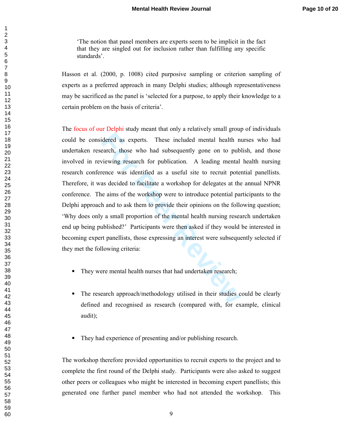'The notion that panel members are experts seem to be implicit in the fact that they are singled out for inclusion rather than fulfilling any specific standards'.

Hasson et al. (2000, p. 1008) cited purposive sampling or criterion sampling of experts as a preferred approach in many Delphi studies; although representativeness may be sacrificed as the panel is 'selected for a purpose, to apply their knowledge to a certain problem on the basis of criteria'.

idered as experts. These included mental health nearch, those who had subsequently gone on to publicaium. A leading mental rence was identified as a useful site to recruit pote: as decided to facilitate a workshop for dele The focus of our Delphi study meant that only a relatively small group of individuals could be considered as experts. These included mental health nurses who had undertaken research, those who had subsequently gone on to publish, and those involved in reviewing research for publication. A leading mental health nursing research conference was identified as a useful site to recruit potential panellists. Therefore, it was decided to facilitate a workshop for delegates at the annual NPNR conference. The aims of the workshop were to introduce potential participants to the Delphi approach and to ask them to provide their opinions on the following question; 'Why does only a small proportion of the mental health nursing research undertaken end up being published?' Participants were then asked if they would be interested in becoming expert panellists, those expressing an interest were subsequently selected if they met the following criteria:

- They were mental health nurses that had undertaken research;
- The research approach/methodology utilised in their studies could be clearly defined and recognised as research (compared with, for example, clinical audit);
- They had experience of presenting and/or publishing research.

The workshop therefore provided opportunities to recruit experts to the project and to complete the first round of the Delphi study. Participants were also asked to suggest other peers or colleagues who might be interested in becoming expert panellists; this generated one further panel member who had not attended the workshop. This

 $\mathbf{1}$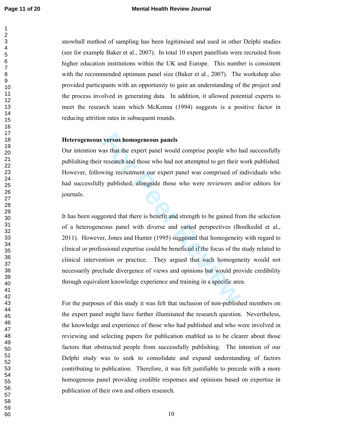#### **Page 11 of 20 Mental Health Review Journal**

snowball method of sampling has been legitimised and used in other Delphi studies (see for example Baker et al., 2007). In total 10 expert panellists were recruited from higher education institutions within the UK and Europe. This number is consistent with the recommended optimum panel size (Baker et al., 2007). The workshop also provided participants with an opportunity to gain an understanding of the project and the process involved in generating data. In addition, it allowed potential experts to meet the research team which McKenna (1994) suggests is a positive factor in reducing attrition rates in subsequent rounds.

# **Heterogeneous versus homogeneous panels**

Our intention was that the expert panel would comprise people who had successfully publishing their research and those who had not attempted to get their work published. However, following recruitment our expert panel was comprised of individuals who had successfully published, alongside those who were reviewers and/or editors for journals.

**For Peer Review** It has been suggested that there is benefit and strength to be gained from the selection of a heterogeneous panel with diverse and varied perspectives (Boulkedid et al., 2011). However, Jones and Hunter (1995) suggested that homogeneity with regard to clinical or professional expertise could be beneficial if the focus of the study related to clinical intervention or practice. They argued that such homogeneity would not necessarily preclude divergence of views and opinions but would provide credibility through equivalent knowledge experience and training in a specific area.

For the purposes of this study it was felt that inclusion of non-published members on the expert panel might have further illuminated the research question. Nevertheless, the knowledge and experience of those who had published and who were involved in reviewing and selecting papers for publication enabled us to be clearer about those factors that obstructed people from successfully publishing. The intention of our Delphi study was to seek to consolidate and expand understanding of factors contributing to publication. Therefore, it was felt justifiable to precede with a more homogenous panel providing credible responses and opinions based on expertise in publication of their own and others research.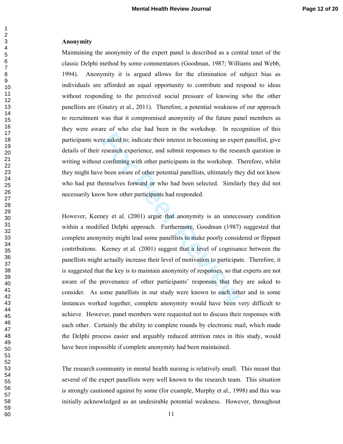## **Anonymity**

Maintaining the anonymity of the expert panel is described as a central tenet of the classic Delphi method by some commentators (Goodman, 1987; Williams and Webb, 1994). Anonymity it is argued allows for the elimination of subject bias as individuals are afforded an equal opportunity to contribute and respond to ideas without responding to the perceived social pressure of knowing who the other panellists are (Gnatzy et al., 2011). Therefore, a potential weakness of our approach to recruitment was that it compromised anonymity of the future panel members as they were aware of who else had been in the workshop. In recognition of this participants were asked to; indicate their interest in becoming an expert panellist, give details of their research experience, and submit responses to the research question in writing without conferring with other participants in the workshop. Therefore, whilst they might have been aware of other potential panellists, ultimately they did not know who had put themselves forward or who had been selected. Similarly they did not necessarily know how other participants had responded.

re asked to; indicate their interest in becoming an exper<br>research experience, and submit responses to the resea<br>conferring with other participants in the workshop. Ti<br>been aware of other potential panellists, ultimately t However, Keeney et al. (2001) argue that anonymity is an unnecessary condition within a modified Delphi approach. Furthermore, Goodman (1987) suggested that complete anonymity might lead some panellists to make poorly considered or flippant contributions. Keeney et al. (2001) suggest that a level of cognisance between the panellists might actually increase their level of motivation to participate. Therefore, it is suggested that the key is to maintain anonymity of responses, so that experts are not aware of the provenance of other participants' responses that they are asked to consider. As some panellists in our study were known to each other and in some instances worked together, complete anonymity would have been very difficult to achieve. However, panel members were requested not to discuss their responses with each other. Certainly the ability to complete rounds by electronic mail, which made the Delphi process easier and arguably reduced attrition rates in this study, would have been impossible if complete anonymity had been maintained.

The research community in mental health nursing is relatively small. This meant that several of the expert panellists were well known to the research team. This situation is strongly cautioned against by some (for example, Murphy et al., 1998) and this was initially acknowledged as an undesirable potential weakness. However, throughout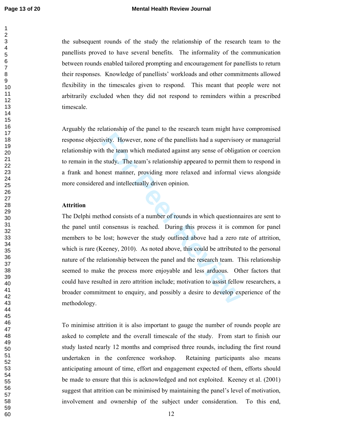the subsequent rounds of the study the relationship of the research team to the panellists proved to have several benefits. The informality of the communication between rounds enabled tailored prompting and encouragement for panellists to return their responses. Knowledge of panellists' workloads and other commitments allowed flexibility in the timescales given to respond. This meant that people were not arbitrarily excluded when they did not respond to reminders within a prescribed timescale.

Arguably the relationship of the panel to the research team might have compromised response objectivity. However, none of the panellists had a supervisory or managerial relationship with the team which mediated against any sense of obligation or coercion to remain in the study. The team's relationship appeared to permit them to respond in a frank and honest manner, providing more relaxed and informal views alongside more considered and intellectually driven opinion.

## **Attrition**

ivity. However, none of the panellists had a supervisor the team which mediated against any sense of obligat study. The team's relationship appeared to permit the mest manner, providing more relaxed and informal v d and in The Delphi method consists of a number of rounds in which questionnaires are sent to the panel until consensus is reached. During this process it is common for panel members to be lost; however the study outlined above had a zero rate of attrition, which is rare (Keeney, 2010). As noted above, this could be attributed to the personal nature of the relationship between the panel and the research team. This relationship seemed to make the process more enjoyable and less arduous. Other factors that could have resulted in zero attrition include; motivation to assist fellow researchers, a broader commitment to enquiry, and possibly a desire to develop experience of the methodology.

To minimise attrition it is also important to gauge the number of rounds people are asked to complete and the overall timescale of the study. From start to finish our study lasted nearly 12 months and comprised three rounds, including the first round undertaken in the conference workshop. Retaining participants also means anticipating amount of time, effort and engagement expected of them, efforts should be made to ensure that this is acknowledged and not exploited. Keeney et al. (2001) suggest that attrition can be minimised by maintaining the panel's level of motivation, involvement and ownership of the subject under consideration. To this end,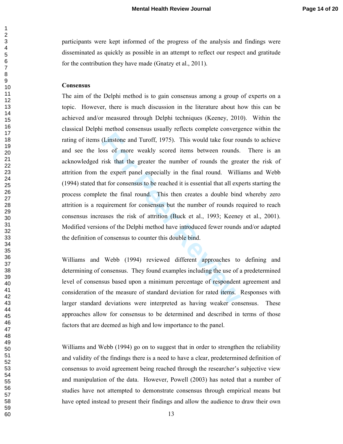participants were kept informed of the progress of the analysis and findings were disseminated as quickly as possible in an attempt to reflect our respect and gratitude for the contribution they have made (Gnatzy et al., 2011).

## **Consensus**

(Linstone and Turoff, 1975). This would take four rot<br>sos of more weakly scored items between rounds.<br>risk that the greater the number of rounds the grea<br>he expert panel especially in the final round. Williat<br>at for consen The aim of the Delphi method is to gain consensus among a group of experts on a topic. However, there is much discussion in the literature about how this can be achieved and/or measured through Delphi techniques (Keeney, 2010). Within the classical Delphi method consensus usually reflects complete convergence within the rating of items (Linstone and Turoff, 1975). This would take four rounds to achieve and see the loss of more weakly scored items between rounds. There is an acknowledged risk that the greater the number of rounds the greater the risk of attrition from the expert panel especially in the final round. Williams and Webb (1994) stated that for consensus to be reached it is essential that all experts starting the process complete the final round. This then creates a double bind whereby zero attrition is a requirement for consensus but the number of rounds required to reach consensus increases the risk of attrition (Buck et al., 1993; Keeney et al., 2001). Modified versions of the Delphi method have introduced fewer rounds and/or adapted the definition of consensus to counter this double bind.

Williams and Webb (1994) reviewed different approaches to defining and determining of consensus. They found examples including the use of a predetermined level of consensus based upon a minimum percentage of respondent agreement and consideration of the measure of standard deviation for rated items. Responses with larger standard deviations were interpreted as having weaker consensus. These approaches allow for consensus to be determined and described in terms of those factors that are deemed as high and low importance to the panel.

Williams and Webb (1994) go on to suggest that in order to strengthen the reliability and validity of the findings there is a need to have a clear, predetermined definition of consensus to avoid agreement being reached through the researcher's subjective view and manipulation of the data. However, Powell (2003) has noted that a number of studies have not attempted to demonstrate consensus through empirical means but have opted instead to present their findings and allow the audience to draw their own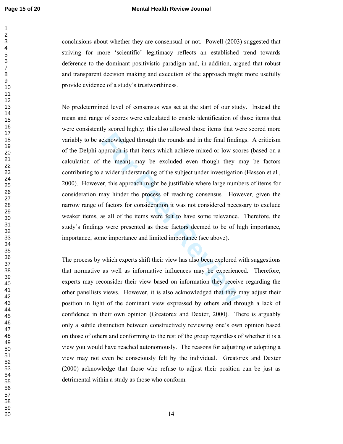$\mathbf{1}$ 

## **Page 15 of 20 Mental Health Review Journal**

conclusions about whether they are consensual or not. Powell (2003) suggested that striving for more 'scientific' legitimacy reflects an established trend towards deference to the dominant positivistic paradigm and, in addition, argued that robust and transparent decision making and execution of the approach might more usefully provide evidence of a study's trustworthiness.

**Exhowledged through the rounds and in the final findin pproach is that items which achieve mixed or low sco the mean) may be excluded even though they n a wider understanding of the subject under investigatior er, this ap** No predetermined level of consensus was set at the start of our study. Instead the mean and range of scores were calculated to enable identification of those items that were consistently scored highly; this also allowed those items that were scored more variably to be acknowledged through the rounds and in the final findings. A criticism of the Delphi approach is that items which achieve mixed or low scores (based on a calculation of the mean) may be excluded even though they may be factors contributing to a wider understanding of the subject under investigation (Hasson et al., 2000). However, this approach might be justifiable where large numbers of items for consideration may hinder the process of reaching consensus. However, given the narrow range of factors for consideration it was not considered necessary to exclude weaker items, as all of the items were felt to have some relevance. Therefore, the study's findings were presented as those factors deemed to be of high importance, importance, some importance and limited importance (see above).

The process by which experts shift their view has also been explored with suggestions that normative as well as informative influences may be experienced. Therefore, experts may reconsider their view based on information they receive regarding the other panellists views. However, it is also acknowledged that they may adjust their position in light of the dominant view expressed by others and through a lack of confidence in their own opinion (Greatorex and Dexter, 2000). There is arguably only a subtle distinction between constructively reviewing one's own opinion based on those of others and conforming to the rest of the group regardless of whether it is a view you would have reached autonomously. The reasons for adjusting or adopting a view may not even be consciously felt by the individual. Greatorex and Dexter (2000) acknowledge that those who refuse to adjust their position can be just as detrimental within a study as those who conform.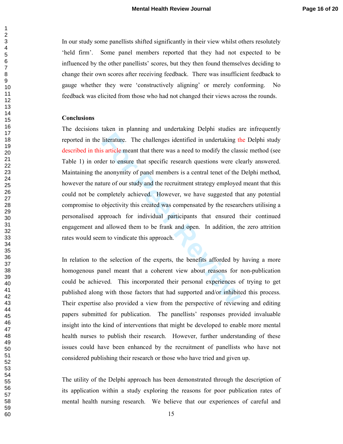In our study some panellists shifted significantly in their view whilst others resolutely 'held firm'. Some panel members reported that they had not expected to be influenced by the other panellists' scores, but they then found themselves deciding to change their own scores after receiving feedback. There was insufficient feedback to gauge whether they were 'constructively aligning' or merely conforming. No feedback was elicited from those who had not changed their views across the rounds.

#### **Conclusions**

literature. The challenges identified in undertaking the **sarticle** meant that there was a need to modify the clas ler to ensure that specific research questions were cle anonymity of panel members is a central tenet of th The decisions taken in planning and undertaking Delphi studies are infrequently reported in the literature. The challenges identified in undertaking the Delphi study described in this article meant that there was a need to modify the classic method (see Table 1) in order to ensure that specific research questions were clearly answered. Maintaining the anonymity of panel members is a central tenet of the Delphi method, however the nature of our study and the recruitment strategy employed meant that this could not be completely achieved. However, we have suggested that any potential compromise to objectivity this created was compensated by the researchers utilising a personalised approach for individual participants that ensured their continued engagement and allowed them to be frank and open. In addition, the zero attrition rates would seem to vindicate this approach.

In relation to the selection of the experts, the benefits afforded by having a more homogenous panel meant that a coherent view about reasons for non-publication could be achieved. This incorporated their personal experiences of trying to get published along with those factors that had supported and/or inhibited this process. Their expertise also provided a view from the perspective of reviewing and editing papers submitted for publication. The panellists' responses provided invaluable insight into the kind of interventions that might be developed to enable more mental health nurses to publish their research. However, further understanding of these issues could have been enhanced by the recruitment of panellists who have not considered publishing their research or those who have tried and given up.

The utility of the Delphi approach has been demonstrated through the description of its application within a study exploring the reasons for poor publication rates of mental health nursing research. We believe that our experiences of careful and

 $\mathbf{1}$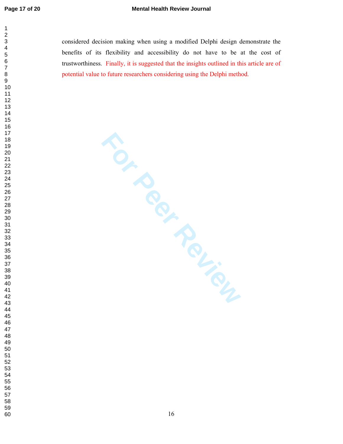$\mathbf{1}$ 

#### **Page 17 of 20 Mental Health Review Journal**

considered decision making when using a modified Delphi design demonstrate the benefits of its flexibility and accessibility do not have to be at the cost of trustworthiness. Finally, it is suggested that the insights outlined in this article are of potential value to future researchers considering using the Delphi method.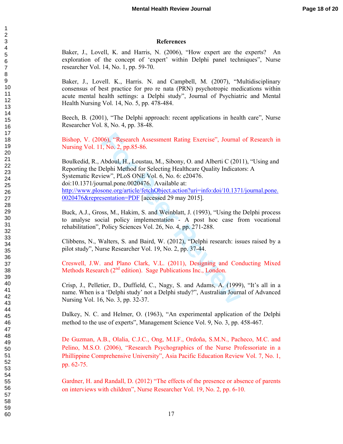## **References**

Baker, J., Lovell, K. and Harris, N. (2006), "How expert are the experts? An exploration of the concept of 'expert' within Delphi panel techniques", Nurse researcher Vol. 14, No. 1, pp. 59-70.

Baker, J., Lovell. K., Harris. N. and Campbell, M. (2007), "Multidisciplinary consensus of best practice for pro re nata (PRN) psychotropic medications within acute mental health settings: a Delphi study", Journal of Psychiatric and Mental Health Nursing Vol. 14, No. 5, pp. 478-484.

Beech, B. (2001), "The Delphi approach: recent applications in health care", Nurse Researcher Vol. 8, No. 4, pp. 38-48.

Bishop, V. (2006), "Research Assessment Rating Exercise", Journal of Research in Nursing Vol. 11, No. 2, pp.85-86.

06), "Research Assessment Rating Exercise", Journal, No. 2, pp.85-86.<br>
Abdoul, H., Loustau, M., Sibony, O. and Alberti C (201<br>
belphi Method for Selecting Healthcare Quality Indicate<br>
iew", PLoS ONE Vol. 6, No. 6: e20476.<br> Boulkedid, R., Abdoul, H., Loustau, M., Sibony, O. and Alberti C (2011), "Using and Reporting the Delphi Method for Selecting Healthcare Quality Indicators: A Systematic Review", PLoS ONE Vol. 6, No. 6: e20476. doi:10.1371/journal.pone.0020476. Available at: http://www.plosone.org/article/fetchObject.action?uri=info:doi/10.1371/journal.pone. 0020476&representation=PDF [accessed 29 may 2015].

Buck, A.J., Gross, M., Hakim, S. and Weinblatt, J. (1993), "Using the Delphi process to analyse social policy implementation - A post hoc case from vocational rehabilitation", Policy Sciences Vol. 26, No. 4, pp. 271-288.

Clibbens, N., Walters, S. and Baird, W. (2012), "Delphi research: issues raised by a pilot study", Nurse Researcher Vol. 19, No. 2, pp. 37-44.

Creswell, J.W. and Plano Clark, V.L. (2011), Designing and Conducting Mixed Methods Research (2<sup>nd</sup> edition). Sage Publications Inc., London.

Crisp, J., Pelletier, D., Duffield, C., Nagy, S. and Adams, A. (1999), "It's all in a name. When is a 'Delphi study' not a Delphi study?", Australian Journal of Advanced Nursing Vol. 16, No. 3, pp. 32-37.

Dalkey, N. C. and Helmer, O. (1963), "An experimental application of the Delphi method to the use of experts", Management Science Vol. 9, No. 3, pp. 458-467.

De Guzman, A.B., Olalia, C.J.C., Ong, M.I.F., Ordoña, S.M.N., Pacheco, M.C. and Pelino, M.S.O. (2006), "Research Psychographics of the Nurse Professoriate in a Phillippine Comprehensive University", Asia Pacific Education Review Vol. 7, No. 1, pp. 62-75.

Gardner, H. and Randall, D. (2012) "The effects of the presence or absence of parents on interviews with children", Nurse Researcher Vol. 19, No. 2, pp. 6-10.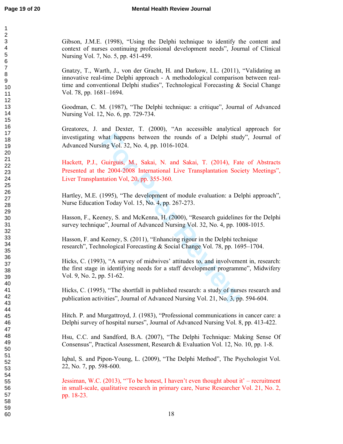Gibson, J.M.E. (1998), "Using the Delphi technique to identify the content and context of nurses continuing professional development needs", Journal of Clinical Nursing Vol. 7, No. 5, pp. 451-459.

Gnatzy, T., Warth, J., von der Gracht, H. and Darkow, I.L. (2011), "Validating an innovative real-time Delphi approach - A methodological comparison between realtime and conventional Delphi studies", Technological Forecasting & Social Change Vol. 78, pp. 1681–1694.

Goodman, C. M. (1987), "The Delphi technique: a critique", Journal of Advanced Nursing Vol. 12, No. 6, pp. 729-734.

Greatorex, J. and Dexter, T. (2000), "An accessible analytical approach for investigating what happens between the rounds of a Delphi study", Journal of Advanced Nursing Vol. 32, No. 4, pp. 1016-1024.

That happens between the rounds of a Delphi stud<br>ing Vol. 32, No. 4, pp. 1016-1024.<br>Guirguis, M., Sakai, N. and Sakai, T. (2014), Fat<br>e 2004-2008 International Live Transplantation Soci<br>tation Vol, 20, pp. 355-360.<br>1995), Hackett, P.J., Guirguis, M., Sakai, N. and Sakai, T. (2014), Fate of Abstracts Presented at the 2004-2008 International Live Transplantation Society Meetings", Liver Transplantation Vol, 20, pp. 355-360.

Hartley, M.E. (1995), "The development of module evaluation: a Delphi approach", Nurse Education Today Vol. 15, No. 4, pp. 267-273.

Hasson, F., Keeney, S. and McKenna, H. (2000), "Research guidelines for the Delphi survey technique", Journal of Advanced Nursing Vol. 32, No. 4, pp. 1008-1015.

Hasson, F. and Keeney, S. (2011), "Enhancing rigour in the Delphi technique research", Technological Forecasting & Social Change Vol. 78, pp. 1695–1704.

Hicks, C. (1993), "A survey of midwives' attitudes to, and involvement in, research: the first stage in identifying needs for a staff development programme", Midwifery Vol. 9, No. 2, pp. 51-62.

Hicks, C. (1995), "The shortfall in published research: a study of nurses research and publication activities", Journal of Advanced Nursing Vol. 21, No. 3, pp. 594-604.

Hitch. P. and Murgattroyd, J. (1983), "Professional communications in cancer care: a Delphi survey of hospital nurses", Journal of Advanced Nursing Vol. 8, pp. 413-422.

Hsu, C.C. and Sandford, B.A. (2007), "The Delphi Technique: Making Sense Of Consensus", Practical Assessment, Research & Evaluation Vol. 12, No. 10, pp. 1-8.

Iqbal, S. and Pipon-Young, L. (2009), "The Delphi Method", The Psychologist Vol. 22, No. 7, pp. 598-600.

Jessiman, W.C. (2013), "'To be honest, I haven't even thought about it' – recruitment in small-scale, qualitative research in primary care, Nurse Researcher Vol. 21, No. 2, pp. 18-23.